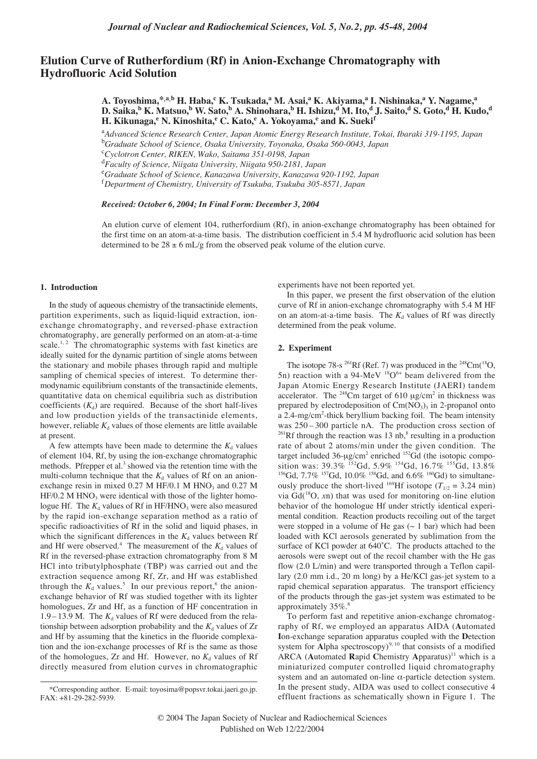# **Elution Curve of Rutherfordium (Rf) in Anion-Exchange Chromatography with Hydrofluoric Acid Solution**

**A. Toyoshima,\*,a,b H. Haba,<sup>c</sup> K. Tsukada,<sup>a</sup> M. Asai,a K. Akiyama,<sup>a</sup> I. Nishinaka,<sup>a</sup> Y. Nagame,a D. Saika,<sup>b</sup> K. Matsuo,<sup>b</sup> W. Sato,b A. Shinohara,<sup>b</sup> H. Ishizu,d M. Ito,d J. Saito,<sup>d</sup> S. Goto,<sup>d</sup> H. Kudo,d H. Kikunaga,<sup>e</sup> N. Kinoshita,<sup>e</sup> C. Kato,e A. Yokoyama,<sup>e</sup> and K. Sueki<sup>f</sup>**

a *Advanced Science Research Center, Japan Atomic Energy Research Institute, Tokai, Ibaraki 319-1195, Japan* b *Graduate School of Science, Osaka University, Toyonaka, Osaka 560-0043, Japan*

c *Cyclotron Center, RIKEN, Wako, Saitama 351-0198, Japan*

d *Faculty of Science, Niigata University, Niigata 950-2181, Japan*

e *Graduate School of Science, Kanazawa University, Kanazawa 920-1192, Japan*

f *Department of Chemistry, University of Tsukuba, Tsukuba 305-8571, Japan*

#### *Received: October 6, 2004; In Final Form: December 3, 2004*

An elution curve of element 104, rutherfordium (Rf), in anion-exchange chromatography has been obtained for the first time on an atom-at-a-time basis. The distribution coefficient in 5.4 M hydrofluoric acid solution has been determined to be  $28 \pm 6$  mL/g from the observed peak volume of the elution curve.

## **1. Introduction**

In the study of aqueous chemistry of the transactinide elements, partition experiments, such as liquid-liquid extraction, ionexchange chromatography, and reversed-phase extraction chromatography, are generally performed on an atom-at-a-time scale.<sup>1, 2</sup> The chromatographic systems with fast kinetics are ideally suited for the dynamic partition of single atoms between the stationary and mobile phases through rapid and multiple sampling of chemical species of interest. To determine thermodynamic equilibrium constants of the transactinide elements, quantitative data on chemical equilibria such as distribution coefficients  $(K_d)$  are required. Because of the short half-lives and low production yields of the transactinide elements, however, reliable  $K_d$  values of those elements are little available at present.

A few attempts have been made to determine the  $K_d$  values of element 104, Rf, by using the ion-exchange chromatographic methods. Pfrepper et al.<sup>3</sup> showed via the retention time with the multi-column technique that the  $K_d$  values of Rf on an anionexchange resin in mixed  $0.27$  M HF/0.1 M HNO<sub>3</sub> and  $0.27$  M  $HF/0.2$  M HNO<sub>3</sub> were identical with those of the lighter homologue Hf. The  $K_d$  values of Rf in HF/HNO<sub>3</sub> were also measured by the rapid ion-exchange separation method as a ratio of specific radioactivities of Rf in the solid and liquid phases, in which the significant differences in the  $K_d$  values between Rf and Hf were observed.<sup>4</sup> The measurement of the  $K_d$  values of Rf in the reversed-phase extraction chromatography from 8 M HCl into tributylphosphate (TBP) was carried out and the extraction sequence among Rf, Zr, and Hf was established through the  $K_d$  values.<sup>5</sup> In our previous report,<sup>6</sup> the anionexchange behavior of Rf was studied together with its lighter homologues, Zr and Hf, as a function of HF concentration in 1.9 – 13.9 M. The  $K_d$  values of Rf were deduced from the relationship between adsorption probability and the  $K_d$  values of  $Zr$ and Hf by assuming that the kinetics in the fluoride complexation and the ion-exchange processes of Rf is the same as those of the homologues, Zr and Hf. However, no  $K_d$  values of Rf directly measured from elution curves in chromatographic

experiments have not been reported yet.

In this paper, we present the first observation of the elution curve of Rf in anion-exchange chromatography with 5.4 M HF on an atom-at-a-time basis. The  $K_d$  values of Rf was directly determined from the peak volume.

### **2. Experiment**

The isotope 78-s <sup>261</sup>Rf (Ref. 7) was produced in the <sup>248</sup>Cm(<sup>18</sup>O, 5n) reaction with a 94-MeV  $^{18}O^{6+}$  beam delivered from the Japan Atomic Energy Research Institute (JAERI) tandem accelerator. The  $248$ Cm target of 610  $\mu$ g/cm<sup>2</sup> in thickness was prepared by electrodeposition of  $Cm(NO<sub>3</sub>)<sub>3</sub>$  in 2-propanol onto a 2.4-mg/cm<sup>2</sup>-thick beryllium backing foil. The beam intensity was 250 – 300 particle nA. The production cross section of  $^{261}$ Rf through the reaction was 13 nb,<sup>8</sup> resulting in a production rate of about 2 atoms/min under the given condition. The target included 36-µg/cm<sup>2</sup> enriched <sup>152</sup>Gd (the isotopic composition was:  $39.3\%$  <sup>152</sup>Gd,  $5.9\%$  <sup>154</sup>Gd,  $16.7\%$  <sup>155</sup>Gd,  $13.8\%$ <sup>156</sup>Gd, 7.7% <sup>157</sup>Gd, 10.0% <sup>158</sup>Gd, and 6.6% <sup>160</sup>Gd) to simultaneously produce the short-lived <sup>169</sup>Hf isotope ( $T_{1/2} = 3.24$  min) via Gd(18O, *x*n) that was used for monitoring on-line elution behavior of the homologue Hf under strictly identical experimental condition. Reaction products recoiling out of the target were stopped in a volume of He gas  $($   $\sim$  1 bar) which had been loaded with KCl aerosols generated by sublimation from the surface of KCl powder at 640˚C. The products attached to the aerosols were swept out of the recoil chamber with the He gas flow (2.0 L/min) and were transported through a Teflon capillary (2.0 mm i.d., 20 m long) by a He/KCl gas-jet system to a rapid chemical separation apparatus. The transport efficiency of the products through the gas-jet system was estimated to be approximately 35%.<sup>8</sup>

To perform fast and repetitive anion-exchange chromatography of Rf, we employed an apparatus AIDA (**A**utomated **I**on-exchange separation apparatus coupled with the **D**etection system for Alpha spectroscopy)<sup>9, 10</sup> that consists of a modified ARCA (Automated Rapid Chemistry Apparatus)<sup>11</sup> which is a miniaturized computer controlled liquid chromatography system and an automated on-line  $α$ -particle detection system. In the present study, AIDA was used to collect consecutive 4 effluent fractions as schematically shown in Figure 1. The

<sup>\*</sup>Corresponding author. E-mail: toyosima@popsvr.tokai.jaeri.go.jp. FAX: +81-29-282-5939.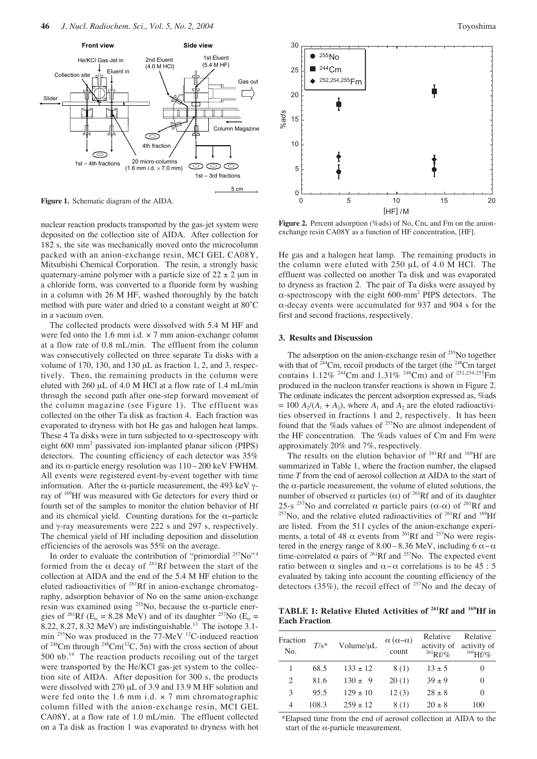

**Figure 1.** Schematic diagram of the AIDA.

nuclear reaction products transported by the gas-jet system were deposited on the collection site of AIDA. After collection for 182 s, the site was mechanically moved onto the microcolumn packed with an anion-exchange resin, MCI GEL CA08Y, Mitsubishi Chemical Corporation. The resin, a strongly basic quaternary-amine polymer with a particle size of  $22 \pm 2$  µm in a chloride form, was converted to a fluoride form by washing in a column with 26 M HF, washed thoroughly by the batch method with pure water and dried to a constant weight at 80˚C in a vacuum oven.

The collected products were dissolved with 5.4 M HF and were fed onto the 1.6 mm i.d.  $\times$  7 mm anion-exchange column at a flow rate of 0.8 mL/min. The effluent from the column was consecutively collected on three separate Ta disks with a volume of 170, 130, and 130 µL as fraction 1, 2, and 3, respectively. Then, the remaining products in the column were eluted with 260 µL of 4.0 M HCl at a flow rate of 1.4 mL/min through the second path after one-step forward movement of the column magazine (see Figure 1). The effluent was collected on the other Ta disk as fraction 4. Each fraction was evaporated to dryness with hot He gas and halogen heat lamps. These 4 Ta disks were in turn subjected to  $\alpha$ -spectroscopy with eight 600 mm2 passivated ion-implanted planar silicon (PIPS) detectors. The counting efficiency of each detector was 35% and its  $\alpha$ -particle energy resolution was  $110 - 200$  keV FWHM. All events were registered event-by-event together with time information. After the α-particle measurement, the 493 keV γray of 169Hf was measured with Ge detectors for every third or fourth set of the samples to monitor the elution behavior of Hf and its chemical yield. Counting durations for the  $\alpha$ -particle and γ-ray measurements were 222 s and 297 s, respectively. The chemical yield of Hf including deposition and dissolution efficiencies of the aerosols was 55% on the average.

In order to evaluate the contribution of "primordial <sup>257</sup>No"<sup>4</sup> formed from the  $\alpha$  decay of <sup>261</sup>Rf between the start of the collection at AIDA and the end of the 5.4 M HF elution to the eluted radioactivities of 261Rf in anion-exchange chromatography, adsorption behavior of No on the same anion-exchange resin was examined using <sup>255</sup>No, because the  $\alpha$ -particle energies of <sup>261</sup>Rf (E<sub>α</sub> = 8.28 MeV) and of its daughter <sup>257</sup>No (E<sub>α</sub> = 8.22, 8.27, 8.32 MeV) are indistinguishable.<sup>13</sup> The isotope 3.1min <sup>255</sup>No was produced in the 77-MeV <sup>12</sup>C-induced reaction of  $248$ Cm through  $248$ Cm( $12$ C, 5n) with the cross section of about 500 nb.<sup>14</sup> The reaction products recoiling out of the target were transported by the He/KCl gas-jet system to the collection site of AIDA. After deposition for 300 s, the products were dissolved with 270 µL of 3.9 and 13.9 M HF solution and were fed onto the 1.6 mm i.d.  $\times$  7 mm chromatographic column filled with the anion-exchange resin, MCI GEL CA08Y, at a flow rate of 1.0 mL/min. The effluent collected on a Ta disk as fraction 1 was evaporated to dryness with hot



**Figure 2.** Percent adsorption (%ads) of No, Cm, and Fm on the anionexchange resin CA08Y as a function of HF concentration, [HF].

He gas and a halogen heat lamp. The remaining products in the column were eluted with 250 µL of 4.0 M HCl. The effluent was collected on another Ta disk and was evaporated to dryness as fraction 2. The pair of Ta disks were assayed by α-spectroscopy with the eight 600-mm<sup>2</sup> PIPS detectors. The α-decay events were accumulated for 937 and 904 s for the first and second fractions, respectively.

### **3. Results and Discussion**

The adsorption on the anion-exchange resin of <sup>255</sup>No together with that of  $244$ Cm, recoil products of the target (the  $248$ Cm target contains 1.12% <sup>244</sup>Cm and 1.31% <sup>246</sup>Cm) and of <sup>252,254,255</sup>Fm produced in the nucleon transfer reactions is shown in Figure 2. The ordinate indicates the percent adsorption expressed as, %ads  $= 100 A_2/(A_1 + A_2)$ , where  $A_1$  and  $A_2$  are the eluted radioactivities observed in fractions 1 and 2, respectively. It has been found that the %ads values of 255No are almost independent of the HF concentration. The %ads values of Cm and Fm were approximately 20% and 7%, respectively.

The results on the elution behavior of  $^{261}Rf$  and  $^{169}Hf$  are summarized in Table 1, where the fraction number, the elapsed time *T* from the end of aerosol collection at AIDA to the start of the  $\alpha$ -particle measurement, the volume of eluted solutions, the number of observed α particles (α) of <sup>261</sup>Rf and of its daughter 25-s <sup>257</sup>No and correlated  $\alpha$  particle pairs ( $\alpha$ - $\alpha$ ) of <sup>261</sup>Rf and  $257$ No, and the relative eluted radioactivities of  $261Rf$  and  $169Hf$ are listed. From the 511 cycles of the anion-exchange experiments, a total of 48  $\alpha$  events from <sup>261</sup>Rf and <sup>257</sup>No were registered in the energy range of 8.00 – 8.36 MeV, including 6  $\alpha$  –  $\alpha$ time-correlated  $\alpha$  pairs of <sup>261</sup>Rf and <sup>257</sup>No. The expected event ratio between  $\alpha$  singles and  $\alpha - \alpha$  correlations is to be 45 : 5 evaluated by taking into account the counting efficiency of the detectors  $(35\%)$ , the recoil effect of <sup>257</sup>No and the decay of

**TABLE 1: Relative Eluted Activities of 261Rf and 169Hf in Each Fraction**

| Fraction<br>No.             | $T/s^*$ | Volume/uL    | $\alpha(\alpha-\alpha)$<br>count | Relative<br>activity of<br>$^{261}Rf/\%$ | Relative<br>activity of<br>$^{169}Hf/\%$ |
|-----------------------------|---------|--------------|----------------------------------|------------------------------------------|------------------------------------------|
|                             | 68.5    | $133 \pm 12$ | 8(1)                             | $13 \pm 5$                               | 0                                        |
| $\mathcal{D}_{\mathcal{L}}$ | 81.6    | $130 + 9$    | 20(1)                            | $39 + 9$                                 | 0                                        |
| 3                           | 95.5    | $129 + 10$   | 12(3)                            | $28 + 8$                                 | 0                                        |
| 4                           | 108.3   | $259 + 12$   | 8(1)                             | $20 + 8$                                 | 100                                      |

\*Elapsed time from the end of aerosol collection at AIDA to the start of the  $\alpha$ -particle measurement.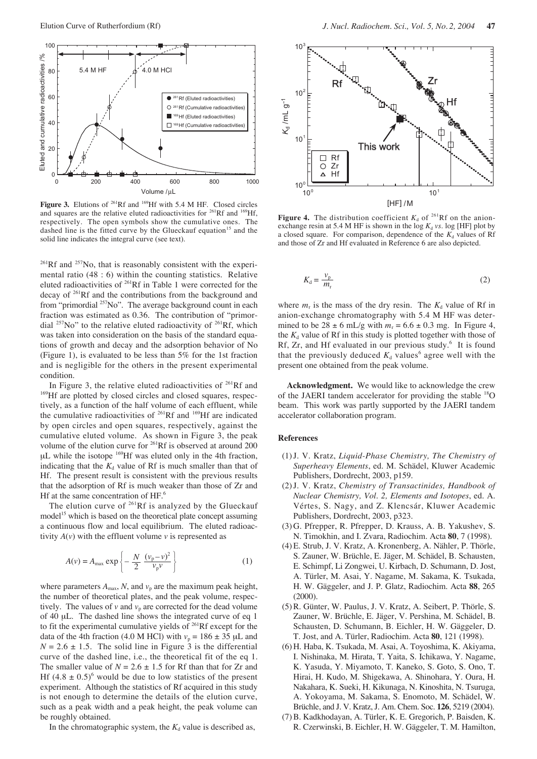

**Figure 3.** Elutions of <sup>261</sup>Rf and <sup>169</sup>Hf with 5.4 M HF. Closed circles and squares are the relative eluted radioactivities for <sup>261</sup>Rf and <sup>169</sup>Hf and squares are the relative eluted radioactivities for  $^{261}Rf$  and <sup>1</sup> respectively. The open symbols show the cumulative ones. The dashed line is the fitted curve by the Glueckauf equation<sup>15</sup> and the solid line indicates the integral curve (see text).

 $^{261}$ Rf and  $^{257}$ No, that is reasonably consistent with the experimental ratio (48 : 6) within the counting statistics. Relative eluted radioactivities of 261Rf in Table 1 were corrected for the decay of 261Rf and the contributions from the background and from "primordial <sup>257</sup>No". The average background count in each fraction was estimated as 0.36. The contribution of "primordial  $^{257}$ No" to the relative eluted radioactivity of  $^{261}$ Rf, which was taken into consideration on the basis of the standard equations of growth and decay and the adsorption behavior of No (Figure 1), is evaluated to be less than 5% for the 1st fraction and is negligible for the others in the present experimental condition.

In Figure 3, the relative eluted radioactivities of  $261Rf$  and <sup>169</sup>Hf are plotted by closed circles and closed squares, respectively, as a function of the half volume of each effluent, while the cumulative radioactivities of 261Rf and 169Hf are indicated by open circles and open squares, respectively, against the cumulative eluted volume. As shown in Figure 3, the peak volume of the elution curve for 261Rf is observed at around 200 µL while the isotope 169Hf was eluted only in the 4th fraction, indicating that the  $K_d$  value of Rf is much smaller than that of Hf. The present result is consistent with the previous results that the adsorption of Rf is much weaker than those of Zr and Hf at the same concentration of HF.<sup>6</sup>

The elution curve of  $261Rf$  is analyzed by the Glueckauf model<sup>15</sup> which is based on the theoretical plate concept assuming a continuous flow and local equilibrium. The eluted radioactivity  $A(v)$  with the effluent volume  $v$  is represented as

$$
A(v) = A_{\text{max}} \exp\left\{-\frac{N}{2} \frac{(v_{\text{p}} - v)^2}{v_{\text{p}} v}\right\} \tag{1}
$$

where parameters  $A_{\text{max}}$ , *N*, and  $v_p$  are the maximum peak height, the number of theoretical plates, and the peak volume, respectively. The values of  $v$  and  $v_p$  are corrected for the dead volume of 40 µL. The dashed line shows the integrated curve of eq 1 to fit the experimental cumulative yields of 261Rf except for the data of the 4th fraction (4.0 M HCl) with  $v_p = 186 \pm 35 \mu L$  and  $N = 2.6 \pm 1.5$ . The solid line in Figure 3 is the differential curve of the dashed line, i.e., the theoretical fit of the eq 1. The smaller value of  $N = 2.6 \pm 1.5$  for Rf than that for Zr and Hf  $(4.8 \pm 0.5)^6$  would be due to low statistics of the present experiment. Although the statistics of Rf acquired in this study is not enough to determine the details of the elution curve, such as a peak width and a peak height, the peak volume can be roughly obtained.

In the chromatographic system, the  $K_d$  value is described as,



**Figure 4.** The distribution coefficient  $K_d$  of <sup>261</sup>Rf on the anionexchange resin at 5.4 M HF is shown in the log  $K_d$  *vs*. log [HF] plot by a closed square. For comparison, dependence of the  $K_d$  values of Rf and those of Zr and Hf evaluated in Reference 6 are also depicted.

$$
K_{\rm d} = \frac{v_{\rm p}}{m_{\rm r}}\tag{2}
$$

where  $m_r$  is the mass of the dry resin. The  $K_d$  value of Rf in anion-exchange chromatography with 5.4 M HF was determined to be  $28 \pm 6$  mL/g with  $m_r = 6.6 \pm 0.3$  mg. In Figure 4, the  $K_d$  value of Rf in this study is plotted together with those of Rf, Zr, and Hf evaluated in our previous study.<sup>6</sup> It is found that the previously deduced  $K_d$  values<sup>6</sup> agree well with the present one obtained from the peak volume.

**Acknowledgment.** We would like to acknowledge the crew of the JAERI tandem accelerator for providing the stable <sup>18</sup>O beam. This work was partly supported by the JAERI tandem accelerator collaboration program.

## **References**

- (1)J. V. Kratz, *Liquid-Phase Chemistry, The Chemistry of Superheavy Elements*, ed. M. Schädel, Kluwer Academic Publishers, Dordrecht, 2003, p159.
- (2)J. V. Kratz, *Chemistry of Transactinides, Handbook of Nuclear Chemistry, Vol. 2, Elements and Isotopes*, ed. A. Vértes, S. Nagy, and Z. Klencsár, Kluwer Academic Publishers, Dordrecht, 2003, p323.
- (3) G. Pfrepper, R. Pfrepper, D. Krauss, A. B. Yakushev, S. N. Timokhin, and I. Zvara, Radiochim. Acta **80**, 7 (1998).
- (4) E. Strub, J. V. Kratz, A. Kronenberg, A. Nähler, P. Thörle, S. Zauner, W. Brüchle, E. Jäger, M. Schädel, B. Schausten, E. Schimpf, Li Zongwei, U. Kirbach, D. Schumann, D. Jost, A. Türler, M. Asai, Y. Nagame, M. Sakama, K. Tsukada, H. W. Gäggeler, and J. P. Glatz, Radiochim. Acta **88**, 265 (2000).
- (5) R. Günter, W. Paulus, J. V. Kratz, A. Seibert, P. Thörle, S. Zauner, W. Brüchle, E. Jäger, V. Pershina, M. Schädel, B. Schausten, D. Schumann, B. Eichler, H. W. Gäggeler, D. T. Jost, and A. Türler, Radiochim. Acta **80**, 121 (1998).
- (6) H. Haba, K. Tsukada, M. Asai, A. Toyoshima, K. Akiyama, I. Nishinaka, M. Hirata, T. Yaita, S. Ichikawa, Y. Nagame, K. Yasuda, Y. Miyamoto, T. Kaneko, S. Goto, S. Ono, T. Hirai, H. Kudo, M. Shigekawa, A. Shinohara, Y. Oura, H. Nakahara, K. Sueki, H. Kikunaga, N. Kinoshita, N. Tsuruga, A. Yokoyama, M. Sakama, S. Enomoto, M. Schädel, W. Brüchle, and J. V. Kratz, J. Am. Chem. Soc. **126**, 5219 (2004).
- (7)B. Kadkhodayan, A. Türler, K. E. Gregorich, P. Baisden, K. R. Czerwinski, B. Eichler, H. W. Gäggeler, T. M. Hamilton,